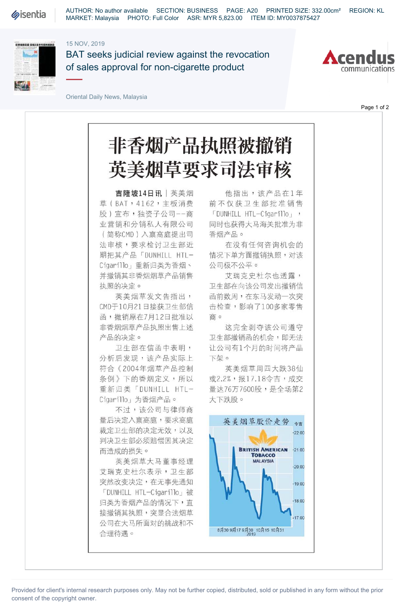**Sisentia** 

AUTHOR: No author available SECTION: BUSINESS PAGE: A20 PRINTED SIZE: 332.00cm² REGION: KL MARKET: Malaysia PHOTO: Full Color ASR: MYR 5,823.00 ITEM ID: MY0037875427

## 15 NOV, 2019



BAT seeks judicial review against the revocation of sales approval for non-cigarette product



Page 1 of 2

Oriental Daily News, Malaysia

## 非香烟产品执照被撤销 英美烟草要求司法审核

吉隆坡14日讯|英美烟 草 (BAT, 4162, 主板消费 股)宣布,独资子公司--商 业营销和分销私人有限公司 (简称CMD )入禀高庭提出司 法审核,要求检讨卫生部近 期把其产品「DUNHILL HTL-Cigarillo」重新归类为香烟、 并撤销其非香烟烟草产品销售 执照的决定。

英美烟草发文告指出, CMD于10月21日接获卫生部信 函,撤销原在7月12日批准以 非香烟烟草产品执照出售上述 产品的决定。

卫生部在信函中表明, 分析后发现,该产品实际上 符合《 2004年烟草产品控制 条例》下的香烟定义,所以 重新归类「DUNHILL HTL-Cigarillo」为香烟产品。

不过,该公司与律师商 量后决定入稟高庭,要求高庭 裁定卫生部的决定无效,以及 判决卫生部必须赔偿因其决定 而造成的损失。

英美烟草大马董事经理 艾瑞克史杜尔表示,卫生部 突然改变决定,在无事先通知 「DUNHILL HTL-Cigarillo」被 归类为香烟产品的情况下,直 接撤销其执照,突显合法烟草 公司在大马所面对的挑战和不 合理待遇。

他指出,该产品在1年 前不仅获卫生部批准销售 「DUNHILL HTL-Cigarillo」, 同时也获得大马海关批准为非 香烟产品。

在没有任何咨询机会的 情况下单方面撤销执照,对该 公司极不公平。

艾瑞克史杜尔也透露, 卫生部在向该公司发出撤销信 函前数周,在东马发动一次突 击检查,影响了 100多家零售 商。

这完全剥夺该公司遵守 卫生部撤销函的机会,即无法 让公司有1个月的时间将产品 下架。

英美烟草周四大跌38仙 或2.2%,报17.18令吉,成交 量达76万7600股,是全场第2 大下跌股。



Provided for client's internal research purposes only. May not be further copied, distributed, sold or published in any form without the prior consent of the copyright owner.